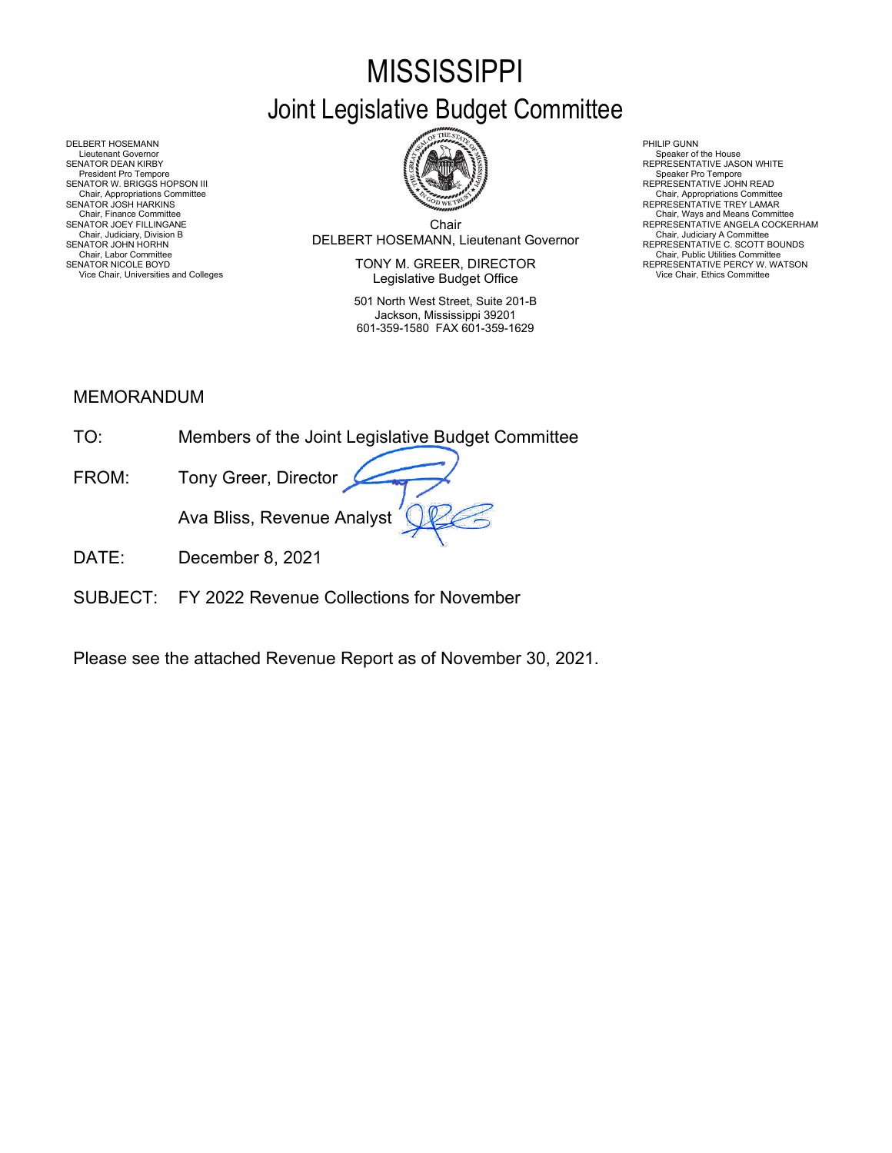# **MISSISSIPPI** Joint Legislative Budget Committee



Chair Chair, Judiciary, Division B<br>SENATOR JOHN HORHN BOUNDS (REPRESENTATIVE C. SCOTT BOUNDS

SENATOR NICOLE BOYD **EXECTOR EXECUTOR SENATOR OF A CONSUMING A CONSUMING PRESENTATIVE PERCY W. WATSON** Vice Chair, Universities and Colleges **Vice Chair, Ethics Committee Legislative Budget Office** Vice Chair, Ethics Committee Vice Chair, Ethics Committee **Legislative Budget Office** 

> 501 North West Street, Suite 201-B Jackson, Mississippi 39201 601-359-1580 FAX 601-359-1629

Chair, Appropriations Committee<br>REPRESENTATIVE TREY LAMAR

Chair, Finance Committee<br>SENATOR JOEY FILLINGANE NEERES AND THE SENATOR OF SERVICE ANGELA COCKERHAM

DELBERT HOSEMANN PHILIP GUNN<br>Lieutenant Governor (Philip Gunn) and the company of the company of the company of the company of the company<br>SENATOR DEAN KIRBY (PHILIP GUNN) AND REPRESENTA Lieutenant Governor (Speaker of the House President Covernor Speaker of the House President Overnor Speaker of the House President Pro Tempore (Speaker of the House President Pro Tempore President Pro Tempore Pro Tempore P SENATOR W. BRIGGS HOPSON III READ AND READ AND READ AND REPRESENTATIVE JOHN READ Chair, Appropriations Committee<br>SENATOR JOSH HARKINS<br>Chair, Finance Committee<br>SENATOR JOEY FILLINGANE Chair, Judiciary Atomities Chair, Judiciary Atomities Chair, Judiciary Atomities Chair, Chair, Chair, Chair, Chair, Chair, Chair, Chair, Chair, Chair, Uniciary Atomities Chair, Labor Committee Chair, Labor Chair, Labor Com

### MEMORANDUM

- DATE: December 8, 2021
- SUBJECT: FY 2022 Revenue Collections for November

Please see the attached Revenue Report as of November 30, 2021.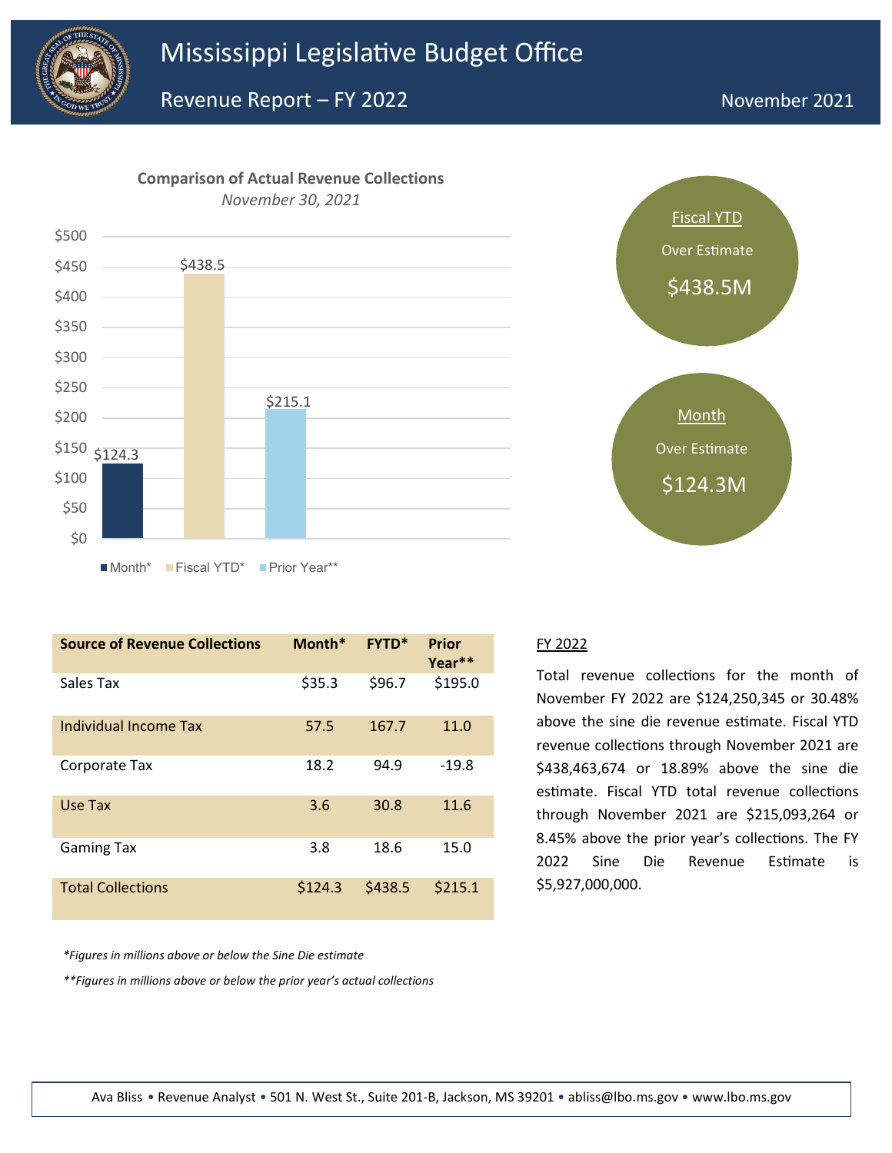

Revenue Report – FY 2022

# November 2021



| <b>Source of Revenue Collections</b> | Month*  | <b>FYTD*</b> | Prior<br>Year** |
|--------------------------------------|---------|--------------|-----------------|
| Sales Tax                            | \$35.3  | \$96.7       | \$195.0         |
| Individual Income Tax                | 57.5    | 167.7        | 11.0            |
| Corporate Tax                        | 18.2    | 94.9         | $-19.8$         |
| Use Tax                              | 3.6     | 30.8         | 11.6            |
| <b>Gaming Tax</b>                    | 3.8     | 18.6         | 15.0            |
| <b>Total Collections</b>             | \$124.3 | \$438.5      | \$215.1         |



#### FY 2022

Total revenue collections for the month of November FY 2022 are \$124,250,345 or 30.48% above the sine die revenue estimate. Fiscal YTD revenue collections through November 2021 are \$438,463,674 or 18.89% above the sine die estimate. Fiscal YTD total revenue collections through November 2021 are \$215,093,264 or 8.45% above the prior year's collections. The FY 2022 Sine Die Revenue Estimate is \$5,927,000,000.

*\*Figures in millions above or below the Sine Die estimate*

*\*\*Figures in millions above or below the prior year's actual collections*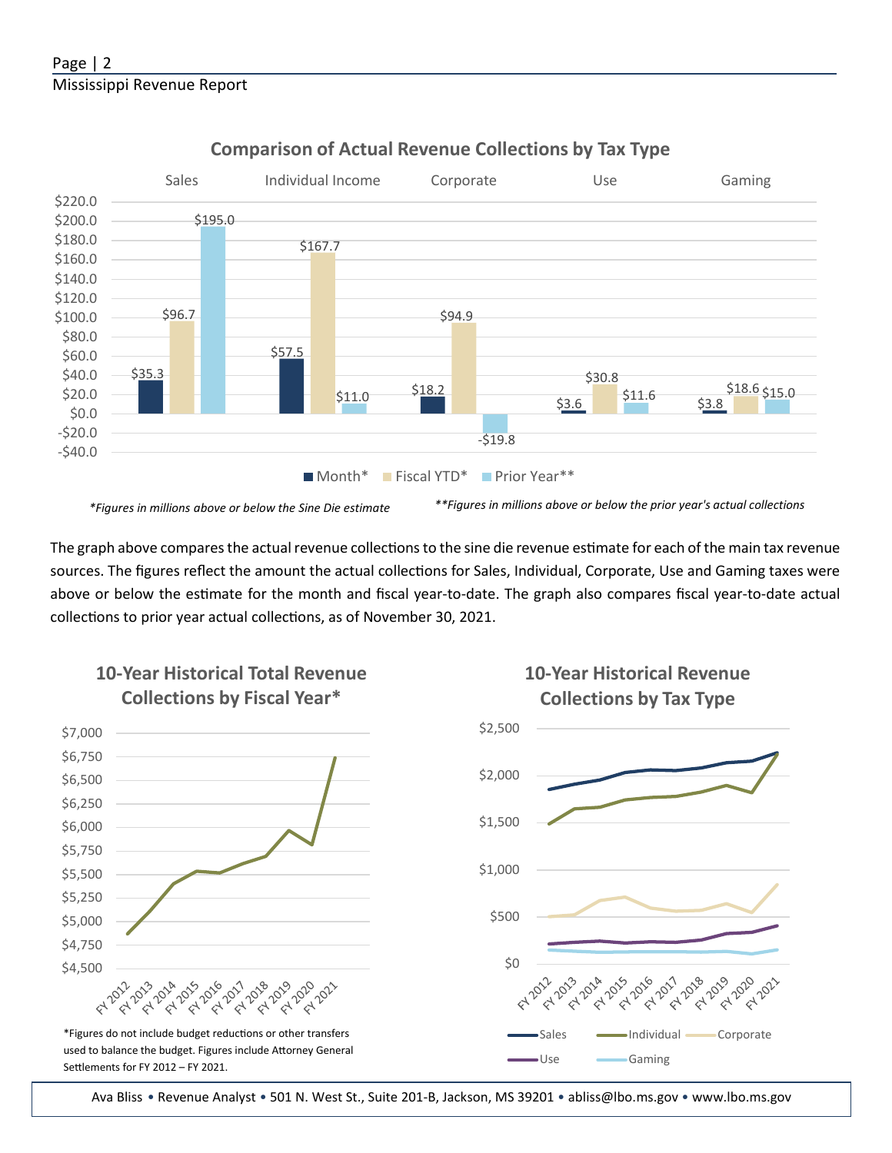

## **Comparison of Actual Revenue Collections by Tax Type**

*\*Figures in millions above or below the Sine Die estimate \*\*Figures in millions above or below the prior year's actual collections*

The graph above compares the actual revenue collections to the sine die revenue estimate for each of the main tax revenue sources. The figures reflect the amount the actual collections for Sales, Individual, Corporate, Use and Gaming taxes were above or below the estimate for the month and fiscal year-to-date. The graph also compares fiscal year-to-date actual collections to prior year actual collections, as of November 30, 2021.



Ava Bliss • Revenue Analyst • 501 N. West St., Suite 201-B, Jackson, MS 39201 • abliss@lbo.ms.gov • [www.lbo.ms.gov](http://www.mississippi.edu/urc)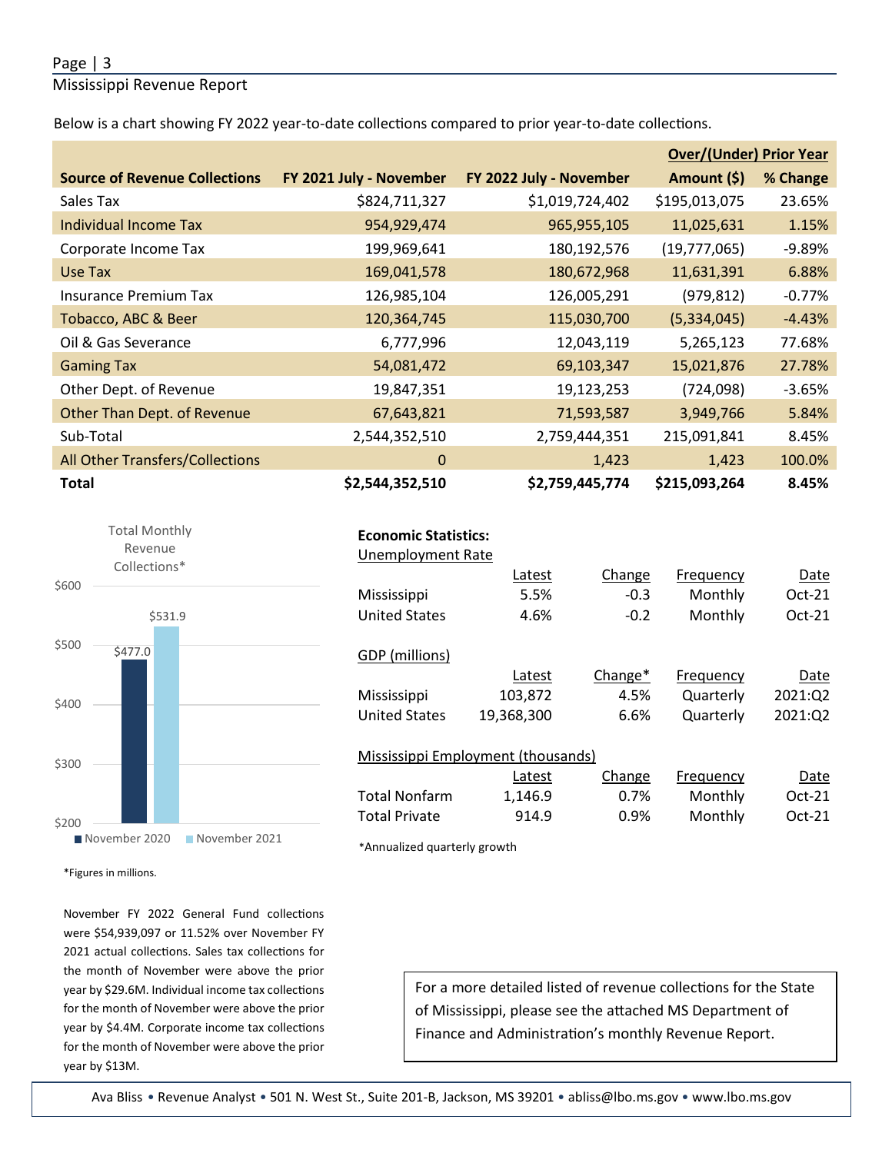#### Page | 3

Mississippi Revenue Report

Below is a chart showing FY 2022 year-to-date collections compared to prior year-to-date collections.

|                                        |                         |                         | <b>Over/(Under) Prior Year</b> |          |  |
|----------------------------------------|-------------------------|-------------------------|--------------------------------|----------|--|
| <b>Source of Revenue Collections</b>   | FY 2021 July - November | FY 2022 July - November | Amount (\$)                    | % Change |  |
| Sales Tax                              | \$824,711,327           | \$1,019,724,402         | \$195,013,075                  | 23.65%   |  |
| Individual Income Tax                  | 954,929,474             | 965,955,105             | 11,025,631                     | 1.15%    |  |
| Corporate Income Tax                   | 199,969,641             | 180,192,576             | (19,777,065)                   | $-9.89%$ |  |
| Use Tax                                | 169,041,578             | 180,672,968             | 11,631,391                     | 6.88%    |  |
| <b>Insurance Premium Tax</b>           | 126,985,104             | 126,005,291             | (979, 812)                     | $-0.77%$ |  |
| Tobacco, ABC & Beer                    | 120,364,745             | 115,030,700             | (5,334,045)                    | $-4.43%$ |  |
| Oil & Gas Severance                    | 6,777,996               | 12,043,119              | 5,265,123                      | 77.68%   |  |
| <b>Gaming Tax</b>                      | 54,081,472              | 69,103,347              | 15,021,876                     | 27.78%   |  |
| Other Dept. of Revenue                 | 19,847,351              | 19,123,253              | (724,098)                      | $-3.65%$ |  |
| <b>Other Than Dept. of Revenue</b>     | 67,643,821              | 71,593,587              | 3,949,766                      | 5.84%    |  |
| Sub-Total                              | 2,544,352,510           | 2,759,444,351           | 215,091,841                    | 8.45%    |  |
| <b>All Other Transfers/Collections</b> | 0                       | 1,423                   | 1,423                          | 100.0%   |  |
| <b>Total</b>                           | \$2,544,352,510         | \$2,759,445,774         | \$215,093,264                  | 8.45%    |  |



| <b>Economic Statistics:</b> |  |
|-----------------------------|--|
|-----------------------------|--|

| <b>Unemployment Rate</b> |                                    |                     |           |          |
|--------------------------|------------------------------------|---------------------|-----------|----------|
|                          | Latest                             | Change              | Frequency | Date     |
| <b>Mississippi</b>       | 5.5%                               | $-0.3$              | Monthly   | Oct-21   |
| <b>United States</b>     | 4.6%                               | $-0.2$              | Monthly   | $Oct-21$ |
|                          |                                    |                     |           |          |
| GDP (millions)           |                                    |                     |           |          |
|                          | Latest                             | Change <sup>*</sup> | Frequency | Date     |
| Mississippi              | 103,872                            | 4.5%                | Quarterly | 2021:02  |
| <b>United States</b>     | 19,368,300                         | 6.6%                | Quarterly | 2021:Q2  |
|                          |                                    |                     |           |          |
|                          | Mississippi Employment (thousands) |                     |           |          |
|                          | Latest                             | Change              | Frequency | Date     |
| <b>Total Nonfarm</b>     | 1,146.9                            | 0.7%                | Monthly   | $Oct-21$ |

Total Private 914.9 0.9% Monthly Oct-21

\*Annualized quarterly growth

\*Figures in millions.

November FY 2022 General Fund collections were \$54,939,097 or 11.52% over November FY 2021 actual collections. Sales tax collections for the month of November were above the prior year by \$29.6M. Individual income tax collections for the month of November were above the prior year by \$4.4M. Corporate income tax collections for the month of November were above the prior year by \$13M.

For a more detailed listed of revenue collections for the State of Mississippi, please see the atached MS Department of Finance and Administration's monthly Revenue Report.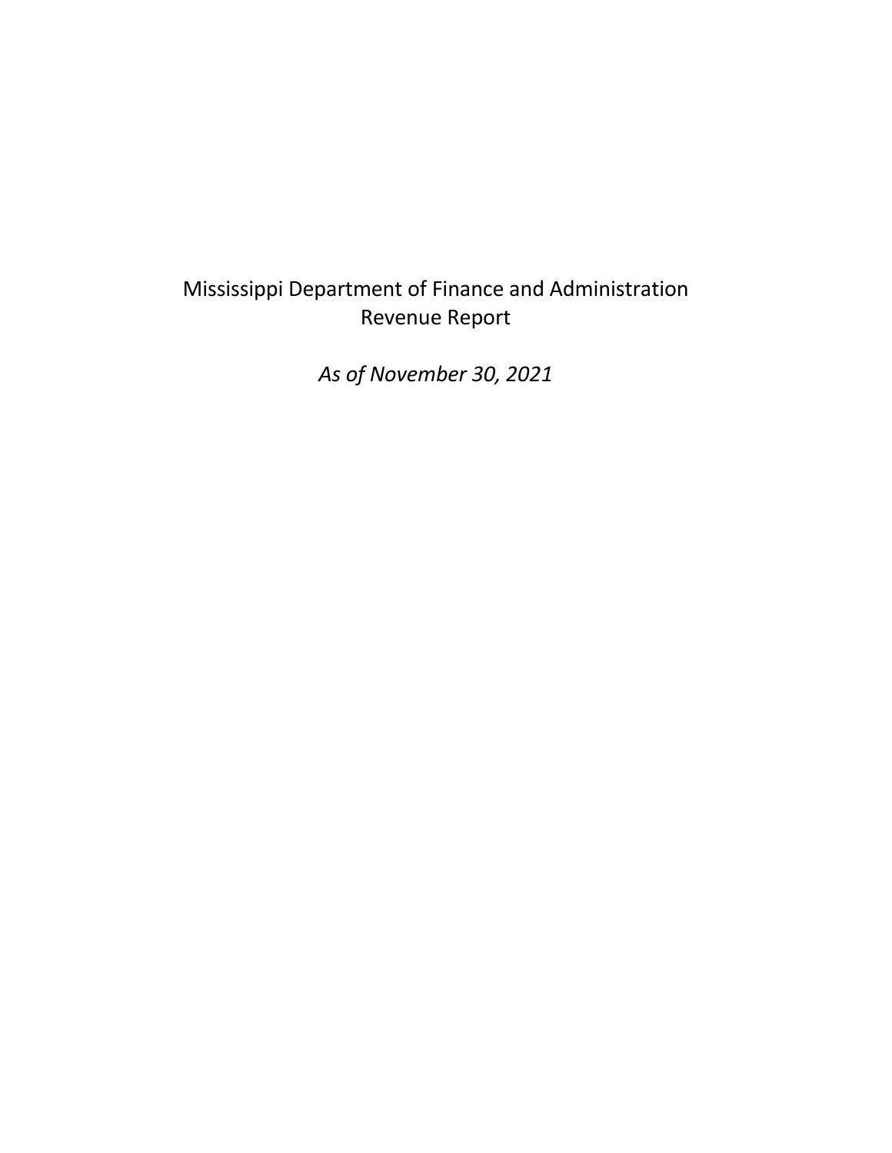# Mississippi Department of Finance and Administration Revenue Report

*As of November 30, 2021*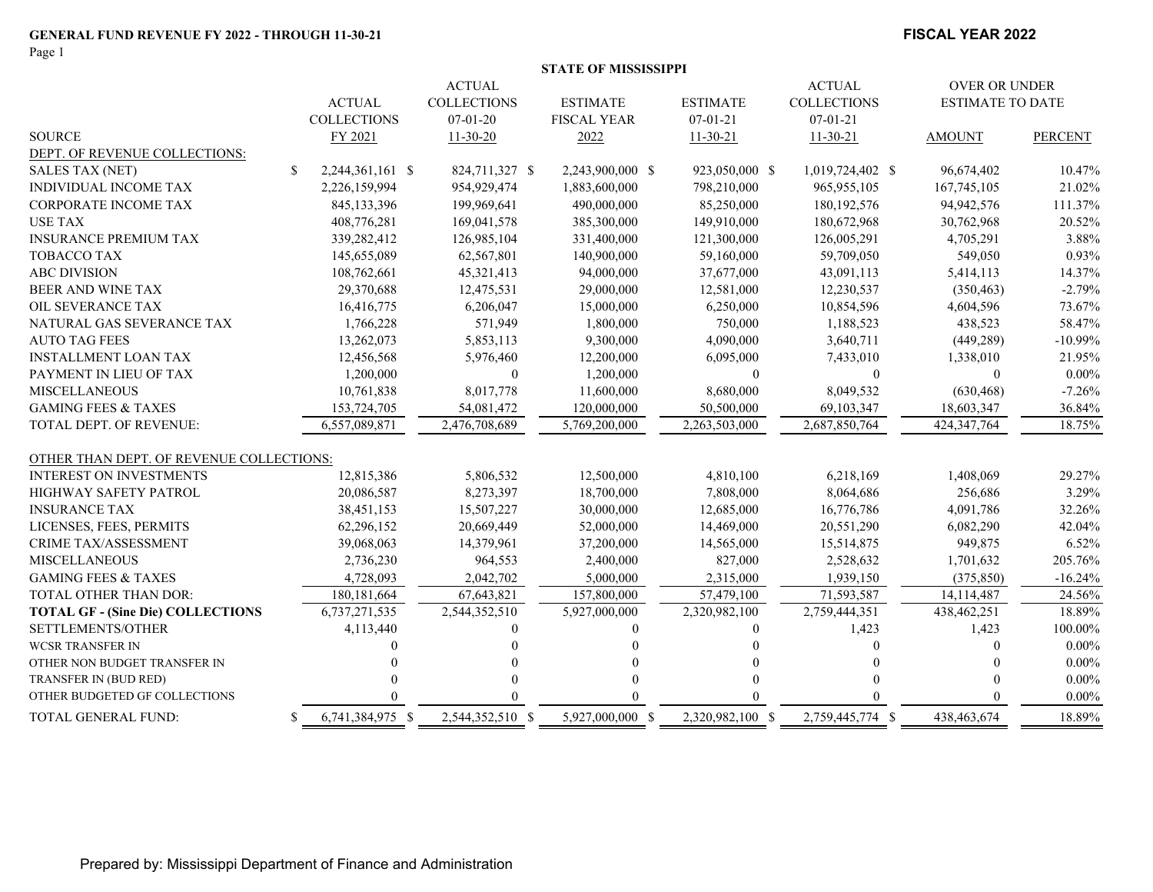Page 1

#### **FISCAL YEAR 2022**

|                                          |     |                    |                    | <b>STATE OF MISSISSIPPI</b> |                  |                    |                         |                |
|------------------------------------------|-----|--------------------|--------------------|-----------------------------|------------------|--------------------|-------------------------|----------------|
|                                          |     |                    | <b>ACTUAL</b>      |                             |                  | <b>ACTUAL</b>      | <b>OVER OR UNDER</b>    |                |
|                                          |     | <b>ACTUAL</b>      | <b>COLLECTIONS</b> | <b>ESTIMATE</b>             | <b>ESTIMATE</b>  | <b>COLLECTIONS</b> | <b>ESTIMATE TO DATE</b> |                |
|                                          |     | <b>COLLECTIONS</b> | $07-01-20$         | <b>FISCAL YEAR</b>          | $07-01-21$       | $07 - 01 - 21$     |                         |                |
| <b>SOURCE</b>                            |     | FY 2021            | $11-30-20$         | 2022                        | $11-30-21$       | $11-30-21$         | <b>AMOUNT</b>           | <b>PERCENT</b> |
| DEPT. OF REVENUE COLLECTIONS:            |     |                    |                    |                             |                  |                    |                         |                |
| SALES TAX (NET)                          | \$  | 2,244,361,161 \$   | 824,711,327 \$     | 2,243,900,000 \$            | 923,050,000 \$   | 1,019,724,402 \$   | 96,674,402              | 10.47%         |
| INDIVIDUAL INCOME TAX                    |     | 2,226,159,994      | 954,929,474        | 1,883,600,000               | 798,210,000      | 965, 955, 105      | 167,745,105             | 21.02%         |
| <b>CORPORATE INCOME TAX</b>              |     | 845,133,396        | 199,969,641        | 490,000,000                 | 85,250,000       | 180, 192, 576      | 94,942,576              | 111.37%        |
| <b>USE TAX</b>                           |     | 408,776,281        | 169,041,578        | 385,300,000                 | 149,910,000      | 180,672,968        | 30,762,968              | 20.52%         |
| <b>INSURANCE PREMIUM TAX</b>             |     | 339,282,412        | 126,985,104        | 331,400,000                 | 121,300,000      | 126,005,291        | 4,705,291               | 3.88%          |
| TOBACCO TAX                              |     | 145,655,089        | 62,567,801         | 140,900,000                 | 59,160,000       | 59,709,050         | 549,050                 | 0.93%          |
| <b>ABC DIVISION</b>                      |     | 108,762,661        | 45,321,413         | 94,000,000                  | 37,677,000       | 43,091,113         | 5,414,113               | 14.37%         |
| BEER AND WINE TAX                        |     | 29,370,688         | 12,475,531         | 29,000,000                  | 12,581,000       | 12,230,537         | (350, 463)              | $-2.79%$       |
| OIL SEVERANCE TAX                        |     | 16,416,775         | 6,206,047          | 15,000,000                  | 6,250,000        | 10,854,596         | 4,604,596               | 73.67%         |
| NATURAL GAS SEVERANCE TAX                |     | 1,766,228          | 571,949            | 1,800,000                   | 750,000          | 1,188,523          | 438,523                 | 58.47%         |
| <b>AUTO TAG FEES</b>                     |     | 13,262,073         | 5,853,113          | 9,300,000                   | 4,090,000        | 3,640,711          | (449, 289)              | $-10.99%$      |
| <b>INSTALLMENT LOAN TAX</b>              |     | 12,456,568         | 5,976,460          | 12,200,000                  | 6,095,000        | 7,433,010          | 1,338,010               | 21.95%         |
| PAYMENT IN LIEU OF TAX                   |     | 1,200,000          | $\theta$           | 1,200,000                   | $\mathbf{0}$     | $\mathbf{0}$       | $\mathbf{0}$            | $0.00\%$       |
| <b>MISCELLANEOUS</b>                     |     | 10,761,838         | 8,017,778          | 11,600,000                  | 8,680,000        | 8,049,532          | (630, 468)              | $-7.26%$       |
| <b>GAMING FEES &amp; TAXES</b>           |     | 153,724,705        | 54,081,472         | 120,000,000                 | 50,500,000       | 69,103,347         | 18,603,347              | 36.84%         |
| TOTAL DEPT. OF REVENUE:                  |     | 6,557,089,871      | 2,476,708,689      | 5,769,200,000               | 2,263,503,000    | 2.687,850,764      | 424,347,764             | 18.75%         |
| OTHER THAN DEPT. OF REVENUE COLLECTIONS: |     |                    |                    |                             |                  |                    |                         |                |
| <b>INTEREST ON INVESTMENTS</b>           |     | 12,815,386         | 5,806,532          | 12,500,000                  | 4,810,100        | 6,218,169          | 1,408,069               | 29.27%         |
| HIGHWAY SAFETY PATROL                    |     | 20,086,587         | 8,273,397          | 18,700,000                  | 7,808,000        | 8,064,686          | 256,686                 | 3.29%          |
| <b>INSURANCE TAX</b>                     |     | 38,451,153         | 15,507,227         | 30,000,000                  | 12,685,000       | 16,776,786         | 4,091,786               | 32.26%         |
| LICENSES, FEES, PERMITS                  |     | 62,296,152         | 20,669,449         | 52,000,000                  | 14,469,000       | 20,551,290         | 6,082,290               | 42.04%         |
| CRIME TAX/ASSESSMENT                     |     | 39,068,063         | 14,379,961         | 37,200,000                  | 14,565,000       | 15,514,875         | 949,875                 | 6.52%          |
| <b>MISCELLANEOUS</b>                     |     | 2,736,230          | 964,553            | 2,400,000                   | 827,000          | 2,528,632          | 1,701,632               | 205.76%        |
| <b>GAMING FEES &amp; TAXES</b>           |     | 4,728,093          | 2,042,702          | 5,000,000                   | 2,315,000        | 1,939,150          | (375, 850)              | $-16.24%$      |
| TOTAL OTHER THAN DOR:                    |     | 180, 181, 664      | 67,643,821         | 157,800,000                 | 57,479,100       | 71,593,587         | 14,114,487              | 24.56%         |
| <b>TOTAL GF - (Sine Die) COLLECTIONS</b> |     | 6,737,271,535      | 2,544,352,510      | 5,927,000,000               | 2,320,982,100    | 2,759,444,351      | 438,462,251             | 18.89%         |
| SETTLEMENTS/OTHER                        |     | 4,113,440          | $\Omega$           | $\Omega$                    | $\theta$         | 1,423              | 1,423                   | 100.00%        |
| <b>WCSR TRANSFER IN</b>                  |     |                    |                    |                             |                  |                    | $\Omega$                | $0.00\%$       |
| OTHER NON BUDGET TRANSFER IN             |     |                    |                    |                             |                  |                    |                         | $0.00\%$       |
| TRANSFER IN (BUD RED)                    |     |                    |                    |                             |                  |                    |                         | $0.00\%$       |
| OTHER BUDGETED GF COLLECTIONS            |     |                    |                    | $\Omega$                    |                  |                    |                         | $0.00\%$       |
| TOTAL GENERAL FUND:                      | \$. | 6,741,384,975 \$   | 2,544,352,510 \$   | 5.927,000,000 \$            | 2,320,982,100 \$ | 2,759,445,774 \$   | 438,463,674             | 18.89%         |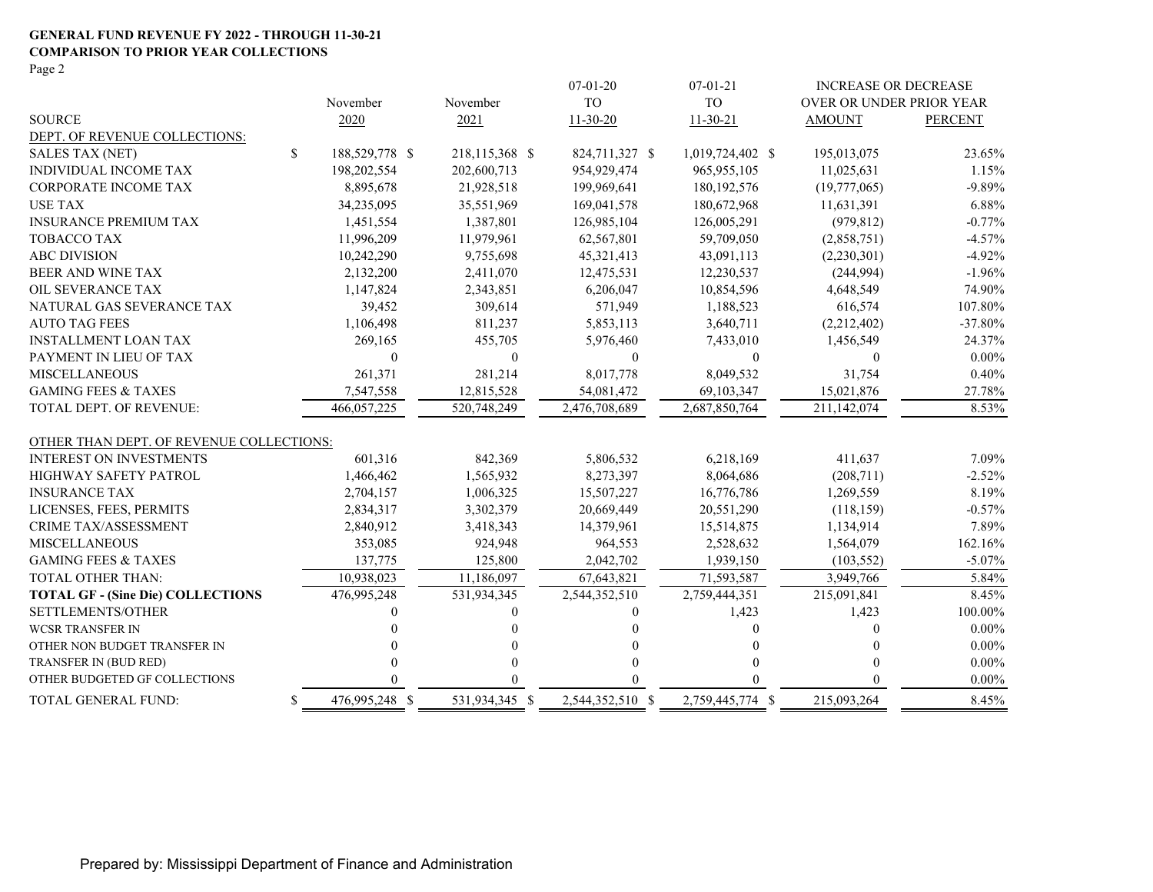#### **GENERAL FUND REVENUE FY 2022 - THROUGH 11-30-21 COMPARISON TO PRIOR YEAR COLLECTIONS** Page 2

|                                          |              |                |                | $07-01-20$       | $07 - 01 - 21$   | <b>INCREASE OR DECREASE</b> |                |
|------------------------------------------|--------------|----------------|----------------|------------------|------------------|-----------------------------|----------------|
|                                          |              | November       | November       | <b>TO</b>        | <b>TO</b>        | OVER OR UNDER PRIOR YEAR    |                |
| <b>SOURCE</b>                            |              | 2020           | 2021           | $11-30-20$       | $11 - 30 - 21$   | <b>AMOUNT</b>               | <b>PERCENT</b> |
| DEPT. OF REVENUE COLLECTIONS:            |              |                |                |                  |                  |                             |                |
| <b>SALES TAX (NET)</b>                   | $\mathbb{S}$ | 188,529,778 \$ | 218,115,368 \$ | 824,711,327 \$   | 1,019,724,402 \$ | 195,013,075                 | 23.65%         |
| INDIVIDUAL INCOME TAX                    |              | 198,202,554    | 202,600,713    | 954,929,474      | 965, 955, 105    | 11,025,631                  | 1.15%          |
| CORPORATE INCOME TAX                     |              | 8,895,678      | 21,928,518     | 199,969,641      | 180, 192, 576    | (19,777,065)                | $-9.89%$       |
| <b>USE TAX</b>                           |              | 34,235,095     | 35,551,969     | 169,041,578      | 180,672,968      | 11,631,391                  | 6.88%          |
| <b>INSURANCE PREMIUM TAX</b>             |              | 1,451,554      | 1,387,801      | 126,985,104      | 126,005,291      | (979, 812)                  | $-0.77%$       |
| <b>TOBACCO TAX</b>                       |              | 11,996,209     | 11,979,961     | 62,567,801       | 59,709,050       | (2,858,751)                 | $-4.57%$       |
| <b>ABC DIVISION</b>                      |              | 10,242,290     | 9,755,698      | 45,321,413       | 43,091,113       | (2,230,301)                 | $-4.92%$       |
| BEER AND WINE TAX                        |              | 2,132,200      | 2,411,070      | 12,475,531       | 12,230,537       | (244, 994)                  | $-1.96%$       |
| OIL SEVERANCE TAX                        |              | 1,147,824      | 2,343,851      | 6,206,047        | 10,854,596       | 4,648,549                   | 74.90%         |
| NATURAL GAS SEVERANCE TAX                |              | 39,452         | 309,614        | 571,949          | 1,188,523        | 616,574                     | 107.80%        |
| <b>AUTO TAG FEES</b>                     |              | 1,106,498      | 811,237        | 5,853,113        | 3,640,711        | (2,212,402)                 | $-37.80%$      |
| <b>INSTALLMENT LOAN TAX</b>              |              | 269,165        | 455,705        | 5,976,460        | 7,433,010        | 1,456,549                   | 24.37%         |
| PAYMENT IN LIEU OF TAX                   |              | $\theta$       | $\mathbf{0}$   | $\theta$         | $\theta$         | $\Omega$                    | $0.00\%$       |
| <b>MISCELLANEOUS</b>                     |              | 261,371        | 281,214        | 8,017,778        | 8,049,532        | 31,754                      | 0.40%          |
| <b>GAMING FEES &amp; TAXES</b>           |              | 7,547,558      | 12,815,528     | 54,081,472       | 69,103,347       | 15,021,876                  | 27.78%         |
| <b>TOTAL DEPT. OF REVENUE:</b>           |              | 466,057,225    | 520,748,249    | 2,476,708,689    | 2,687,850,764    | 211,142,074                 | 8.53%          |
| OTHER THAN DEPT. OF REVENUE COLLECTIONS: |              |                |                |                  |                  |                             |                |
| <b>INTEREST ON INVESTMENTS</b>           |              | 601,316        | 842,369        | 5,806,532        | 6,218,169        | 411,637                     | 7.09%          |
| HIGHWAY SAFETY PATROL                    |              | 1,466,462      | 1,565,932      | 8,273,397        | 8,064,686        | (208,711)                   | $-2.52%$       |
| <b>INSURANCE TAX</b>                     |              | 2,704,157      | 1,006,325      | 15,507,227       | 16,776,786       | 1,269,559                   | 8.19%          |
| LICENSES, FEES, PERMITS                  |              | 2,834,317      | 3,302,379      | 20,669,449       | 20,551,290       | (118, 159)                  | $-0.57%$       |
| <b>CRIME TAX/ASSESSMENT</b>              |              | 2,840,912      | 3,418,343      | 14,379,961       | 15,514,875       | 1,134,914                   | 7.89%          |
| <b>MISCELLANEOUS</b>                     |              | 353,085        | 924,948        | 964,553          | 2,528,632        | 1,564,079                   | 162.16%        |
| <b>GAMING FEES &amp; TAXES</b>           |              | 137,775        | 125,800        | 2,042,702        | 1,939,150        | (103, 552)                  | $-5.07\%$      |
| <b>TOTAL OTHER THAN:</b>                 |              | 10,938,023     | 11,186,097     | 67,643,821       | 71,593,587       | 3,949,766                   | 5.84%          |
| <b>TOTAL GF - (Sine Die) COLLECTIONS</b> |              | 476,995,248    | 531,934,345    | 2,544,352,510    | 2,759,444,351    | 215,091,841                 | 8.45%          |
| SETTLEMENTS/OTHER                        |              |                | 0              |                  | 1,423            | 1,423                       | 100.00%        |
| <b>WCSR TRANSFER IN</b>                  |              |                |                |                  | 0                | 0                           | $0.00\%$       |
| OTHER NON BUDGET TRANSFER IN             |              |                |                |                  |                  | 0                           | $0.00\%$       |
| TRANSFER IN (BUD RED)                    |              |                |                |                  |                  |                             | $0.00\%$       |
| OTHER BUDGETED GF COLLECTIONS            |              |                |                |                  | 0                |                             | $0.00\%$       |
| TOTAL GENERAL FUND:                      | \$           | 476,995,248 \$ | 531,934,345 \$ | 2,544,352,510 \$ | 2,759,445,774 \$ | 215,093,264                 | 8.45%          |